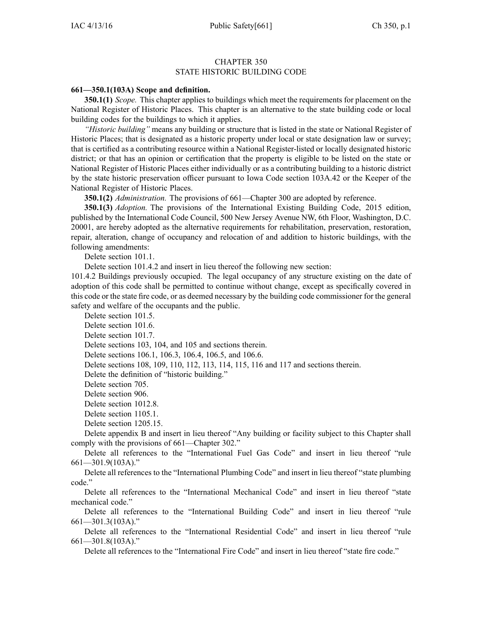## CHAPTER 350 STATE HISTORIC BUILDING CODE

## **661—350.1(103A) Scope and definition.**

**350.1(1)** *Scope.* This chapter applies to buildings which meet the requirements for placement on the National Register of Historic Places. This chapter is an alternative to the state building code or local building codes for the buildings to which it applies.

*"Historic building"* means any building or structure that is listed in the state or National Register of Historic Places; that is designated as <sup>a</sup> historic property under local or state designation law or survey; that is certified as <sup>a</sup> contributing resource within <sup>a</sup> National Register-listed or locally designated historic district; or that has an opinion or certification that the property is eligible to be listed on the state or National Register of Historic Places either individually or as <sup>a</sup> contributing building to <sup>a</sup> historic district by the state historic preservation officer pursuan<sup>t</sup> to Iowa Code section [103A.42](https://www.legis.iowa.gov/docs/ico/section/103A.42.pdf) or the Keeper of the National Register of Historic Places.

**350.1(2)** *Administration.* The provisions of 661—Chapter 300 are adopted by reference.

**350.1(3)** *Adoption.* The provisions of the International Existing Building Code, 2015 edition, published by the International Code Council, 500 New Jersey Avenue NW, 6th Floor, Washington, D.C. 20001, are hereby adopted as the alternative requirements for rehabilitation, preservation, restoration, repair, alteration, change of occupancy and relocation of and addition to historic buildings, with the following amendments:

Delete section 101.1.

Delete section 101.4.2 and insert in lieu thereof the following new section:

101.4.2 Buildings previously occupied. The legal occupancy of any structure existing on the date of adoption of this code shall be permitted to continue without change, excep<sup>t</sup> as specifically covered in this code or the state fire code, or as deemed necessary by the building code commissioner for the general safety and welfare of the occupants and the public.

Delete section 101.5.

Delete section 101.6.

Delete section 101.7.

Delete sections 103, 104, and 105 and sections therein.

Delete sections 106.1, 106.3, 106.4, 106.5, and 106.6.

Delete sections 108, 109, 110, 112, 113, 114, 115, 116 and 117 and sections therein.

Delete the definition of "historic building."

Delete section 705.

Delete section 906.

Delete section 1012.8.

Delete section 1105.1.

Delete section 1205.15.

Delete appendix B and insert in lieu thereof "Any building or facility subject to this Chapter shall comply with the provisions of 661—Chapter 302."

Delete all references to the "International Fuel Gas Code" and insert in lieu thereof "rule 661—301.9(103A)."

Delete all references to the "International Plumbing Code" and insert in lieu thereof "state plumbing code."

Delete all references to the "International Mechanical Code" and insert in lieu thereof "state mechanical code."

Delete all references to the "International Building Code" and insert in lieu thereof "rule 661—301.3(103A)."

Delete all references to the "International Residential Code" and insert in lieu thereof "rule 661—301.8(103A)."

Delete all references to the "International Fire Code" and insert in lieu thereof "state fire code."